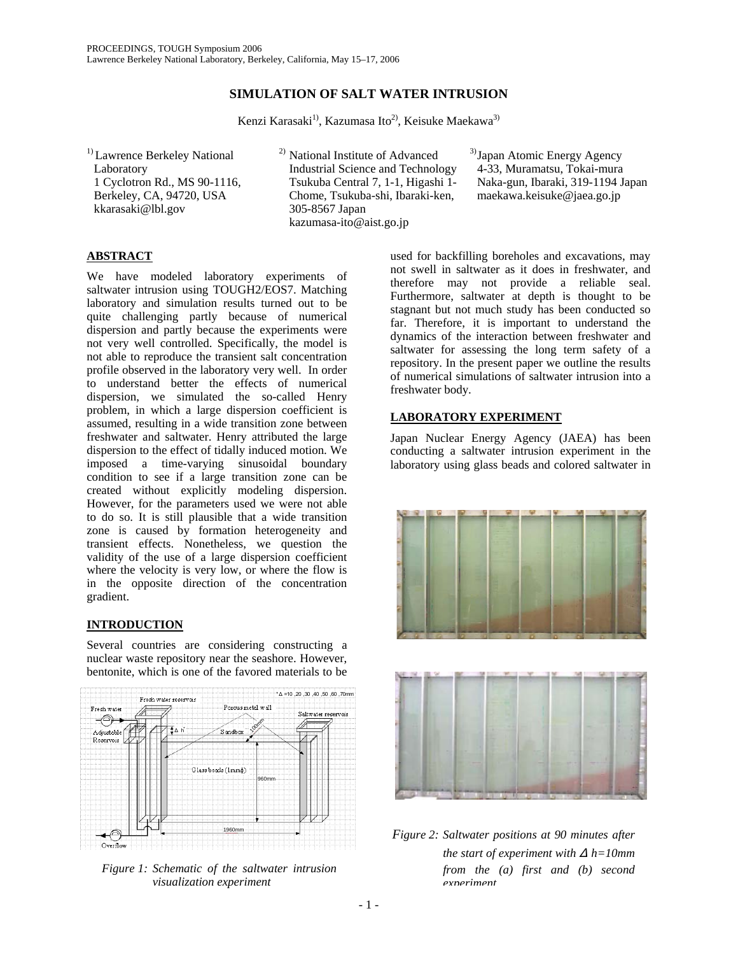# **SIMULATION OF SALT WATER INTRUSION**

Kenzi Karasaki<sup>1)</sup>, Kazumasa Ito<sup>2)</sup>, Keisuke Maekawa<sup>3)</sup>

1) Lawrence Berkeley National Laboratory 1 Cyclotron Rd., MS 90-1116, Berkeley, CA, 94720, USA kkarasaki@lbl.gov

2) National Institute of Advanced Industrial Science and Technology Tsukuba Central 7, 1-1, Higashi 1- Chome, Tsukuba-shi, Ibaraki-ken, 305-8567 Japan [kazumasa-ito@aist.go.jp](mailto:kazumasa-ito@aist.go.jp)

3) Japan Atomic Energy Agency 4-33, Muramatsu, Tokai-mura Naka-gun, Ibaraki, 319-1194 Japan [maekawa.keisuke@jaea.go.jp](mailto:maekawa.keisuke@jaea.go.jp)

## **ABSTRACT**

We have modeled laboratory experiments of saltwater intrusion using TOUGH2/EOS7. Matching laboratory and simulation results turned out to be quite challenging partly because of numerical dispersion and partly because the experiments were not very well controlled. Specifically, the model is not able to reproduce the transient salt concentration profile observed in the laboratory very well. In order to understand better the effects of numerical dispersion, we simulated the so-called Henry problem, in which a large dispersion coefficient is assumed, resulting in a wide transition zone between freshwater and saltwater. Henry attributed the large dispersion to the effect of tidally induced motion. We imposed a time-varying sinusoidal boundary condition to see if a large transition zone can be created without explicitly modeling dispersion. However, for the parameters used we were not able to do so. It is still plausible that a wide transition zone is caused by formation heterogeneity and transient effects. Nonetheless, we question the validity of the use of a large dispersion coefficient where the velocity is very low, or where the flow is in the opposite direction of the concentration gradient.

## **INTRODUCTION**

Several countries are considering constructing a nuclear waste repository near the seashore. However, bentonite, which is one of the favored materials to be



*Figure 1: Schematic of the saltwater intrusion visualization experiment*

used for backfilling boreholes and excavations, may not swell in saltwater as it does in freshwater, and therefore may not provide a reliable seal. Furthermore, saltwater at depth is thought to be stagnant but not much study has been conducted so far. Therefore, it is important to understand the dynamics of the interaction between freshwater and saltwater for assessing the long term safety of a repository. In the present paper we outline the results of numerical simulations of saltwater intrusion into a freshwater body.

## **LABORATORY EXPERIMENT**

Japan Nuclear Energy Agency (JAEA) has been conducting a saltwater intrusion experiment in the laboratory using glass beads and colored saltwater in





*Figure 2: Saltwater positions at 90 minutes after the start of experiment with* Δ *h=10mm from the (a) first and (b) second experiment*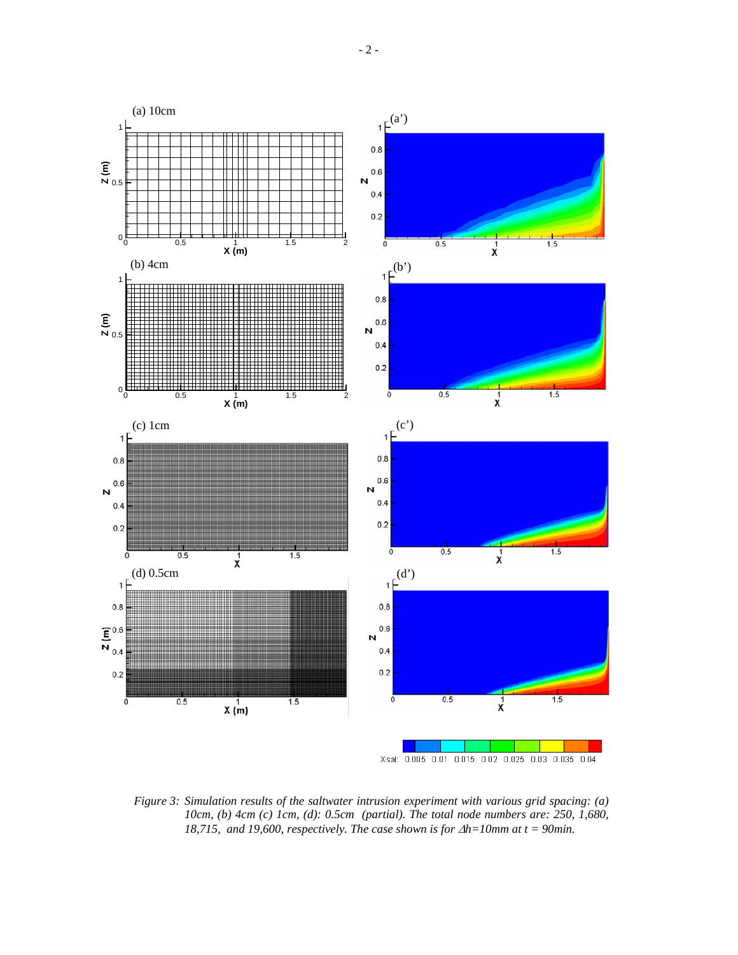



*Figure 3: Simulation results of the saltwater intrusion experiment with various grid spacing: (a) 10cm, (b) 4cm (c) 1cm, (d): 0.5cm (partial). The total node numbers are: 250, 1,680, 18,715, and 19,600, respectively. The case shown is for ∆h=10mm at t = 90min.*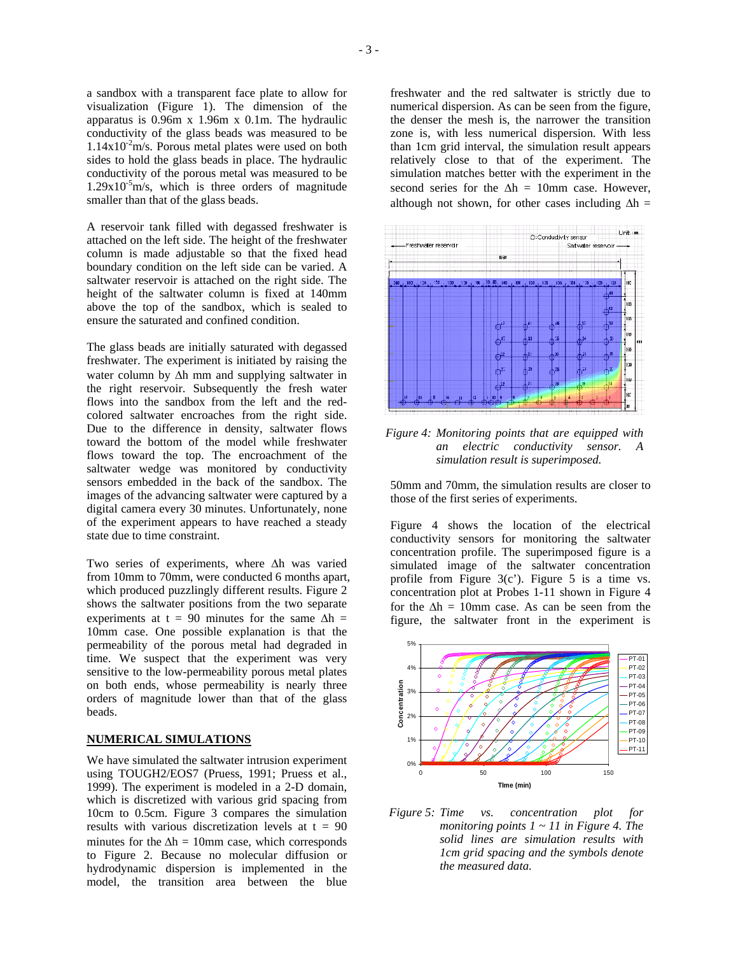a sandbox with a transparent face plate to allow for visualization (Figure 1). The dimension of the apparatus is 0.96m x 1.96m x 0.1m. The hydraulic conductivity of the glass beads was measured to be  $1.14x10^2$ m/s. Porous metal plates were used on both sides to hold the glass beads in place. The hydraulic conductivity of the porous metal was measured to be  $1.29x10^{-5}$ m/s, which is three orders of magnitude smaller than that of the glass beads.

A reservoir tank filled with degassed freshwater is attached on the left side. The height of the freshwater column is made adjustable so that the fixed head boundary condition on the left side can be varied. A saltwater reservoir is attached on the right side. The height of the saltwater column is fixed at 140mm above the top of the sandbox, which is sealed to ensure the saturated and confined condition.

The glass beads are initially saturated with degassed freshwater. The experiment is initiated by raising the water column by ∆h mm and supplying saltwater in the right reservoir. Subsequently the fresh water flows into the sandbox from the left and the redcolored saltwater encroaches from the right side. Due to the difference in density, saltwater flows toward the bottom of the model while freshwater flows toward the top. The encroachment of the saltwater wedge was monitored by conductivity sensors embedded in the back of the sandbox. The images of the advancing saltwater were captured by a digital camera every 30 minutes. Unfortunately, none of the experiment appears to have reached a steady state due to time constraint.

Two series of experiments, where ∆h was varied from 10mm to 70mm, were conducted 6 months apart, which produced puzzlingly different results. Figure 2 shows the saltwater positions from the two separate experiments at t = 90 minutes for the same  $\Delta h$  = 10mm case. One possible explanation is that the permeability of the porous metal had degraded in time. We suspect that the experiment was very sensitive to the low-permeability porous metal plates on both ends, whose permeability is nearly three orders of magnitude lower than that of the glass beads.

#### **NUMERICAL SIMULATIONS**

We have simulated the saltwater intrusion experiment using TOUGH2/EOS7 (Pruess, 1991; Pruess et al., 1999). The experiment is modeled in a 2-D domain, which is discretized with various grid spacing from 10cm to 0.5cm. Figure 3 compares the simulation results with various discretization levels at  $t = 90$ minutes for the  $\Delta h = 10$ mm case, which corresponds to Figure 2. Because no molecular diffusion or hydrodynamic dispersion is implemented in the model, the transition area between the blue

freshwater and the red saltwater is strictly due to numerical dispersion. As can be seen from the figure, the denser the mesh is, the narrower the transition zone is, with less numerical dispersion. With less than 1cm grid interval, the simulation result appears relatively close to that of the experiment. The simulation matches better with the experiment in the second series for the  $\Delta h = 10$ mm case. However, although not shown, for other cases including  $\Delta h =$ 



*Figure 4: Monitoring points that are equipped with an electric conductivity sensor. A simulation result is superimposed.* 

50mm and 70mm, the simulation results are closer to those of the first series of experiments.

Figure 4 shows the location of the electrical conductivity sensors for monitoring the saltwater concentration profile. The superimposed figure is a simulated image of the saltwater concentration profile from Figure  $3(c')$ . Figure 5 is a time vs. concentration plot at Probes 1-11 shown in Figure 4 for the  $\Delta h = 10$ mm case. As can be seen from the figure, the saltwater front in the experiment is



*Figure 5: Time vs. concentration plot for monitoring points 1 ~ 11 in Figure 4. The solid lines are simulation results with 1cm grid spacing and the symbols denote the measured data.*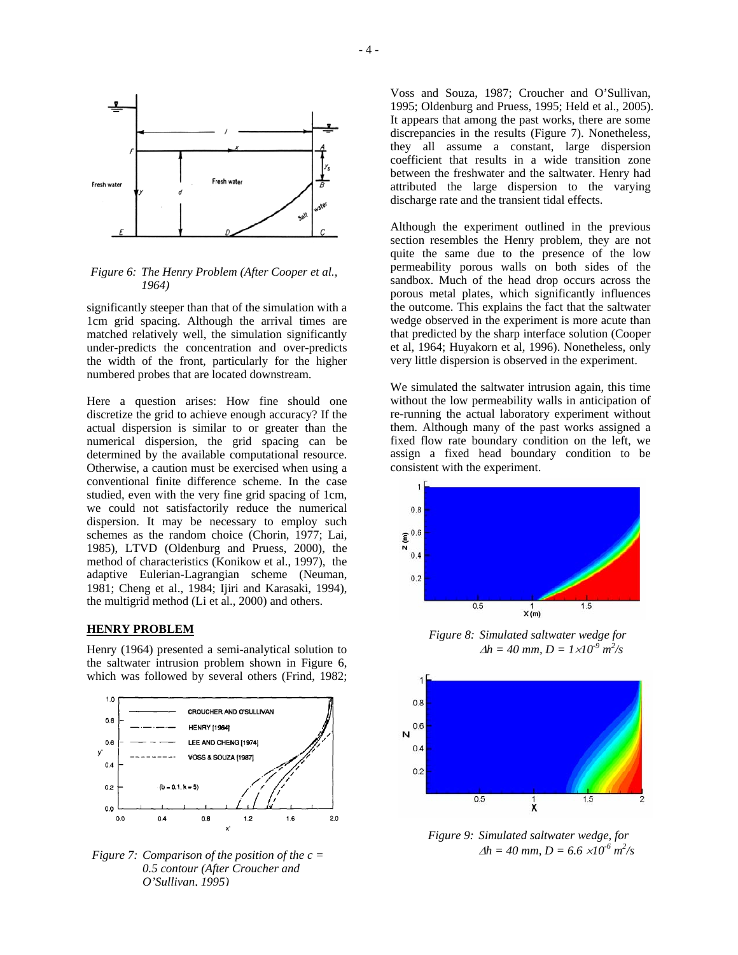

*Figure 6: The Henry Problem (After Cooper et al., 1964)*

significantly steeper than that of the simulation with a 1cm grid spacing. Although the arrival times are matched relatively well, the simulation significantly under-predicts the concentration and over-predicts the width of the front, particularly for the higher numbered probes that are located downstream.

Here a question arises: How fine should one discretize the grid to achieve enough accuracy? If the actual dispersion is similar to or greater than the numerical dispersion, the grid spacing can be determined by the available computational resource. Otherwise, a caution must be exercised when using a conventional finite difference scheme. In the case studied, even with the very fine grid spacing of 1cm, we could not satisfactorily reduce the numerical dispersion. It may be necessary to employ such schemes as the random choice (Chorin, 1977; Lai, 1985), LTVD (Oldenburg and Pruess, 2000), the method of characteristics (Konikow et al., 1997), the adaptive Eulerian-Lagrangian scheme (Neuman, 1981; Cheng et al., 1984; Ijiri and Karasaki, 1994), the multigrid method (Li et al., 2000) and others.

#### **HENRY PROBLEM**

Henry (1964) presented a semi-analytical solution to the saltwater intrusion problem shown in Figure 6, which was followed by several others (Frind, 1982;



*Figure 7: Comparison of the position of the*  $c =$ *0.5 contour (After Croucher and O'Sullivan, 1995)*

Voss and Souza, 1987; Croucher and O'Sullivan, 1995; Oldenburg and Pruess, 1995; Held et al., 2005). It appears that among the past works, there are some discrepancies in the results (Figure 7). Nonetheless, they all assume a constant, large dispersion coefficient that results in a wide transition zone between the freshwater and the saltwater. Henry had attributed the large dispersion to the varying discharge rate and the transient tidal effects.

Although the experiment outlined in the previous section resembles the Henry problem, they are not quite the same due to the presence of the low permeability porous walls on both sides of the sandbox. Much of the head drop occurs across the porous metal plates, which significantly influences the outcome. This explains the fact that the saltwater wedge observed in the experiment is more acute than that predicted by the sharp interface solution (Cooper et al, 1964; Huyakorn et al, 1996). Nonetheless, only very little dispersion is observed in the experiment.

We simulated the saltwater intrusion again, this time without the low permeability walls in anticipation of re-running the actual laboratory experiment without them. Although many of the past works assigned a fixed flow rate boundary condition on the left, we assign a fixed head boundary condition to be consistent with the experiment.



*Figure 8: Simulated saltwater wedge for*   $\Delta h = 40$  mm,  $D = 1 \times 10^{-9}$  m<sup>2</sup>/s



*Figure 9: Simulated saltwater wedge, for*   $\Delta h = 40$  *mm, D* = 6.6  $\times 10^{-6}$  *m*<sup>2</sup>/s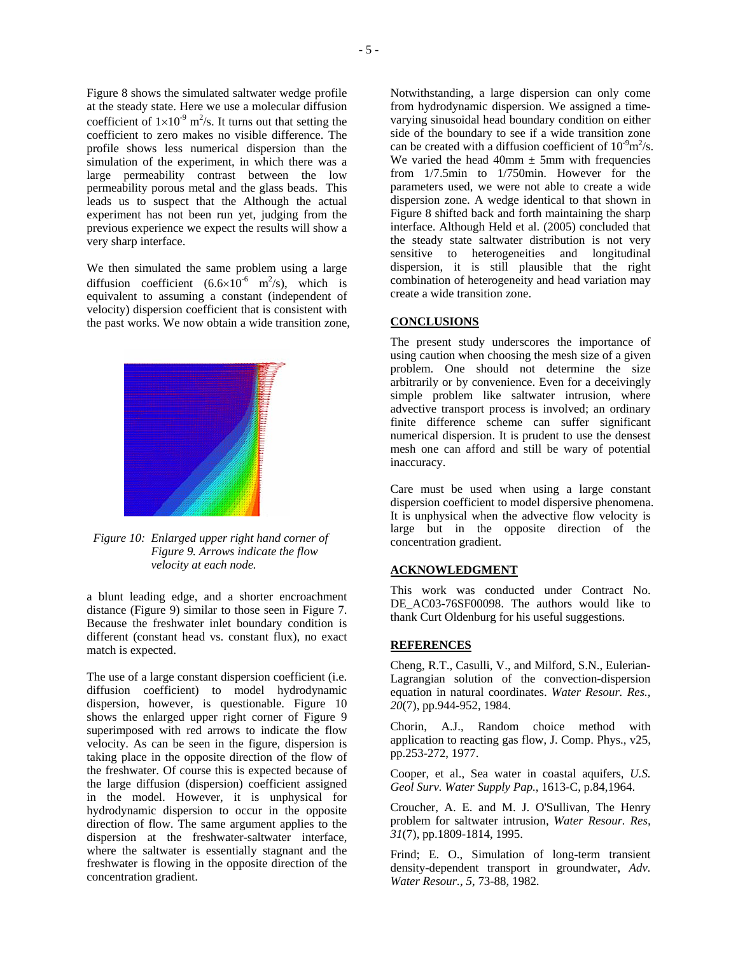Figure 8 shows the simulated saltwater wedge profile at the steady state. Here we use a molecular diffusion coefficient of  $1 \times 10^{-9}$  m<sup>2</sup>/s. It turns out that setting the coefficient to zero makes no visible difference. The profile shows less numerical dispersion than the simulation of the experiment, in which there was a large permeability contrast between the low permeability porous metal and the glass beads. This leads us to suspect that the Although the actual experiment has not been run yet, judging from the previous experience we expect the results will show a very sharp interface.

We then simulated the same problem using a large diffusion coefficient  $(6.6\times10^{-6} \text{ m}^2/\text{s})$ , which is equivalent to assuming a constant (independent of velocity) dispersion coefficient that is consistent with the past works. We now obtain a wide transition zone,



Figure 10: Enlarged upper right hand corner of concentration gradient. *Figure 9. Arrows indicate the flow* 

a blunt leading edge, and a shorter encroachment distance (Figure 9) similar to those seen in Figure 7. Because the freshwater inlet boundary condition is different (constant head vs. constant flux), no exact match is expected.

The use of a large constant dispersion coefficient (i.e. diffusion coefficient) to model hydrodynamic dispersion, however, is questionable. Figure 10 shows the enlarged upper right corner of Figure 9 superimposed with red arrows to indicate the flow velocity. As can be seen in the figure, dispersion is taking place in the opposite direction of the flow of the freshwater. Of course this is expected because of the large diffusion (dispersion) coefficient assigned in the model. However, it is unphysical for hydrodynamic dispersion to occur in the opposite direction of flow. The same argument applies to the dispersion at the freshwater-saltwater interface, where the saltwater is essentially stagnant and the freshwater is flowing in the opposite direction of the concentration gradient.

Notwithstanding, a large dispersion can only come from hydrodynamic dispersion. We assigned a timevarying sinusoidal head boundary condition on either side of the boundary to see if a wide transition zone can be created with a diffusion coefficient of  $10^9 \text{m}^2/\text{s}$ . We varied the head  $40 \text{mm} \pm 5 \text{mm}$  with frequencies from 1/7.5min to 1/750min. However for the parameters used, we were not able to create a wide dispersion zone. A wedge identical to that shown in Figure 8 shifted back and forth maintaining the sharp interface. Although Held et al. (2005) concluded that the steady state saltwater distribution is not very sensitive to heterogeneities and longitudinal dispersion, it is still plausible that the right combination of heterogeneity and head variation may create a wide transition zone.

#### **CONCLUSIONS**

The present study underscores the importance of using caution when choosing the mesh size of a given problem. One should not determine the size arbitrarily or by convenience. Even for a deceivingly simple problem like saltwater intrusion, where advective transport process is involved; an ordinary finite difference scheme can suffer significant numerical dispersion. It is prudent to use the densest mesh one can afford and still be wary of potential inaccuracy.

Care must be used when using a large constant dispersion coefficient to model dispersive phenomena. It is unphysical when the advective flow velocity is large but in the opposite direction of the

#### *velocity at each node.* **ACKNOWLEDGMENT**

This work was conducted under Contract No. DE\_AC03-76SF00098. The authors would like to thank Curt Oldenburg for his useful suggestions.

#### **REFERENCES**

Cheng, R.T., Casulli, V., and Milford, S.N., Eulerian-Lagrangian solution of the convection-dispersion equation in natural coordinates. *Water Resour. Res., 20*(7), pp.944-952, 1984.

Chorin, A.J., Random choice method with application to reacting gas flow, J. Comp. Phys., v25, pp.253-272, 1977.

Cooper, et al., Sea water in coastal aquifers, *U.S. Geol Surv. Water Supply Pap.*, 1613-C, p.84,1964.

Croucher, A. E. and M. J. O'Sullivan, The Henry problem for saltwater intrusion, *Water Resour. Res, 31*(7), pp.1809-1814, 1995.

Frind; E. O., Simulation of long-term transient density-dependent transport in groundwater, *Adv. Water Resour., 5*, 73-88, 1982.